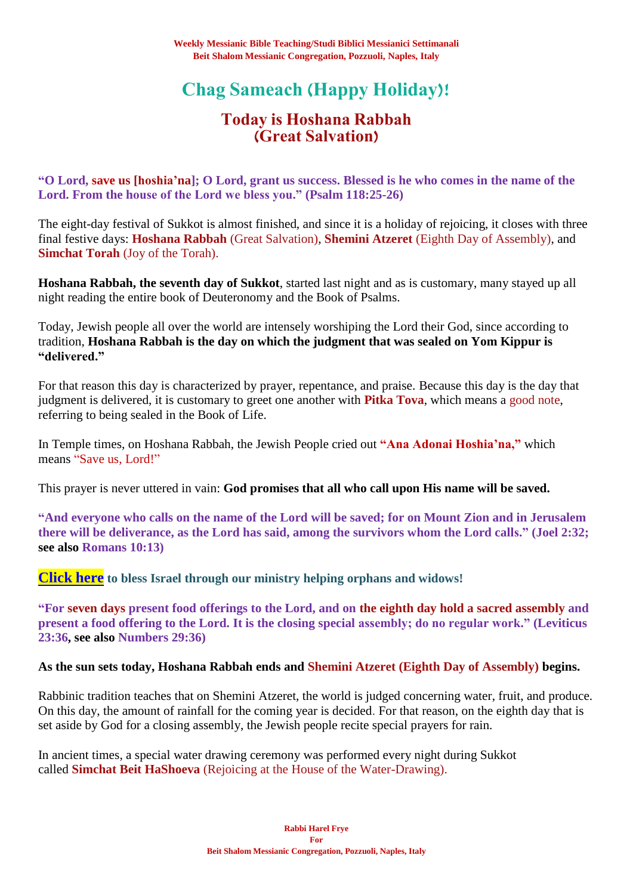# **Chag Sameach (Happy Holiday)!**

## **Today is Hoshana Rabbah (Great Salvation)**

**"O Lord, save us [hoshia'na]; O Lord, grant us success. Blessed is he who comes in the name of the Lord. From the house of the Lord we bless you." (Psalm 118:25-26)**

The eight-day festival of Sukkot is almost finished, and since it is a holiday of rejoicing, it closes with three final festive days: **Hoshana Rabbah** (Great Salvation), **Shemini Atzeret** (Eighth Day of Assembly), and **Simchat Torah** (Joy of the Torah).

**Hoshana Rabbah, the seventh day of Sukkot**, started last night and as is customary, many stayed up all night reading the entire book of Deuteronomy and the Book of Psalms.

Today, Jewish people all over the world are intensely worshiping the Lord their God, since according to tradition, **Hoshana Rabbah is the day on which the judgment that was sealed on Yom Kippur is "delivered."**

For that reason this day is characterized by prayer, repentance, and praise. Because this day is the day that judgment is delivered, it is customary to greet one another with **Pitka Tova**, which means a good note, referring to being sealed in the Book of Life.

In Temple times, on Hoshana Rabbah, the Jewish People cried out **"Ana Adonai Hoshia'na,"** which means "Save us, Lord!"

This prayer is never uttered in vain: **God promises that all who call upon His name will be saved.**

**"And everyone who calls on the name of the Lord will be saved; for on Mount Zion and in Jerusalem there will be deliverance, as the Lord has said, among the survivors whom the Lord calls." (Joel 2:32; see also Romans 10:13)**

**[Click here](https://villageofhopejusticeministry.org/) to bless Israel through our ministry helping orphans and widows!**

**"For seven days present food offerings to the Lord, and on the eighth day hold a sacred assembly and present a food offering to the Lord. It is the closing special assembly; do no regular work." (Leviticus 23:36, see also Numbers 29:36)**

### **As the sun sets today, Hoshana Rabbah ends and Shemini Atzeret (Eighth Day of Assembly) begins.**

Rabbinic tradition teaches that on Shemini Atzeret, the world is judged concerning water, fruit, and produce. On this day, the amount of rainfall for the coming year is decided. For that reason, on the eighth day that is set aside by God for a closing assembly, the Jewish people recite special prayers for rain.

In ancient times, a special water drawing ceremony was performed every night during Sukkot called **Simchat Beit HaShoeva** (Rejoicing at the House of the Water-Drawing).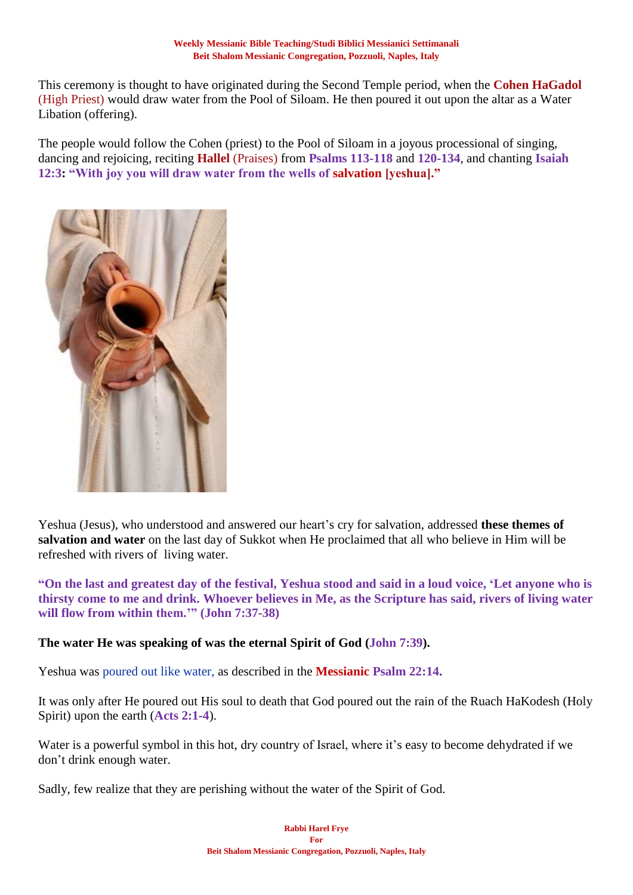This ceremony is thought to have originated during the Second Temple period, when the **Cohen HaGadol** (High Priest) would draw water from the Pool of Siloam. He then poured it out upon the altar as a Water Libation (offering).

The people would follow the Cohen (priest) to the Pool of Siloam in a joyous processional of singing, dancing and rejoicing, reciting **Hallel** (Praises) from **Psalms 113-118** and **120-134**, and chanting **Isaiah 12:3: "With joy you will draw water from the wells of salvation [yeshua]."**



Yeshua (Jesus), who understood and answered our heart's cry for salvation, addressed **these themes of salvation and water** on the last day of Sukkot when He proclaimed that all who believe in Him will be refreshed with rivers of living water.

**"On the last and greatest day of the festival, Yeshua stood and said in a loud voice, 'Let anyone who is thirsty come to me and drink. Whoever believes in Me, as the Scripture has said, rivers of living water will flow from within them.'" (John 7:37-38)**

### **The water He was speaking of was the eternal Spirit of God (John 7:39).**

Yeshua was poured out like water, as described in the **Messianic Psalm 22:14.**

It was only after He poured out His soul to death that God poured out the rain of the Ruach HaKodesh (Holy Spirit) upon the earth (**Acts 2:1-4**).

Water is a powerful symbol in this hot, dry country of Israel, where it's easy to become dehydrated if we don't drink enough water.

Sadly, few realize that they are perishing without the water of the Spirit of God.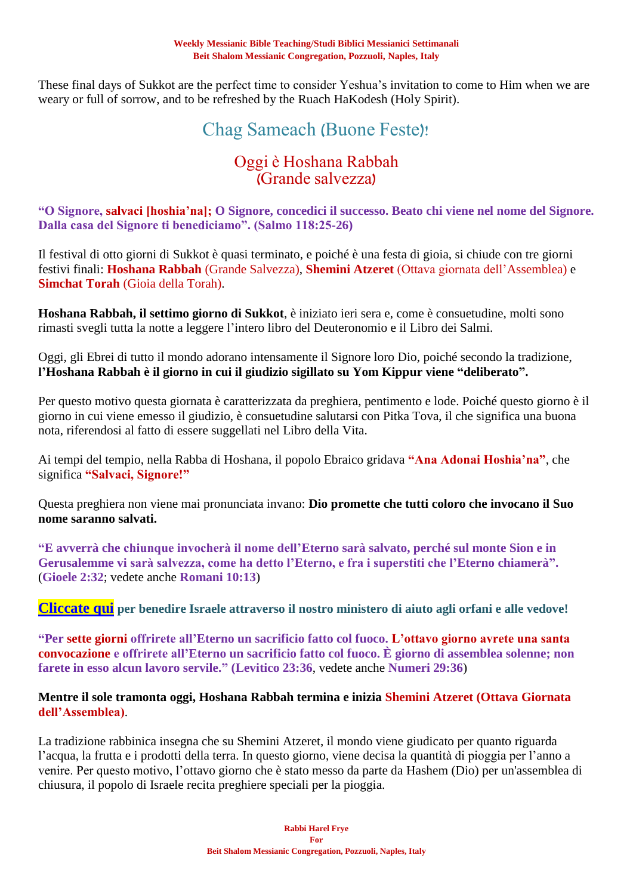These final days of Sukkot are the perfect time to consider Yeshua's invitation to come to Him when we are weary or full of sorrow, and to be refreshed by the Ruach HaKodesh (Holy Spirit).

## Chag Sameach (Buone Feste)!

## Oggi è Hoshana Rabbah (Grande salvezza)

**"O Signore, salvaci [hoshia'na]; O Signore, concedici il successo. Beato chi viene nel nome del Signore. Dalla casa del Signore ti benediciamo". (Salmo 118:25-26)**

Il festival di otto giorni di Sukkot è quasi terminato, e poiché è una festa di gioia, si chiude con tre giorni festivi finali: **Hoshana Rabbah** (Grande Salvezza), **Shemini Atzeret** (Ottava giornata dell'Assemblea) e **Simchat Torah** (Gioia della Torah).

**Hoshana Rabbah, il settimo giorno di Sukkot**, è iniziato ieri sera e, come è consuetudine, molti sono rimasti svegli tutta la notte a leggere l'intero libro del Deuteronomio e il Libro dei Salmi.

Oggi, gli Ebrei di tutto il mondo adorano intensamente il Signore loro Dio, poiché secondo la tradizione, **l'Hoshana Rabbah è il giorno in cui il giudizio sigillato su Yom Kippur viene "deliberato".**

Per questo motivo questa giornata è caratterizzata da preghiera, pentimento e lode. Poiché questo giorno è il giorno in cui viene emesso il giudizio, è consuetudine salutarsi con Pitka Tova, il che significa una buona nota, riferendosi al fatto di essere suggellati nel Libro della Vita.

Ai tempi del tempio, nella Rabba di Hoshana, il popolo Ebraico gridava **"Ana Adonai Hoshia'na"**, che significa **"Salvaci, Signore!"**

Questa preghiera non viene mai pronunciata invano: **Dio promette che tutti coloro che invocano il Suo nome saranno salvati.**

**"E avverrà che chiunque invocherà il nome dell'Eterno sarà salvato, perché sul monte Sion e in Gerusalemme vi sarà salvezza, come ha detto l'Eterno, e fra i superstiti che l'Eterno chiamerà".** (**Gioele 2:32**; vedete anche **Romani 10:13**)

**[Cliccate qui](https://villageofhopejusticeministry.org/) per benedire Israele attraverso il nostro ministero di aiuto agli orfani e alle vedove!**

**"Per sette giorni offrirete all'Eterno un sacrificio fatto col fuoco. L'ottavo giorno avrete una santa convocazione e offrirete all'Eterno un sacrificio fatto col fuoco. È giorno di assemblea solenne; non farete in esso alcun lavoro servile." (Levitico 23:36**, vedete anche **Numeri 29:36**)

### **Mentre il sole tramonta oggi, Hoshana Rabbah termina e inizia Shemini Atzeret (Ottava Giornata dell'Assemblea)**.

La tradizione rabbinica insegna che su Shemini Atzeret, il mondo viene giudicato per quanto riguarda l'acqua, la frutta e i prodotti della terra. In questo giorno, viene decisa la quantità di pioggia per l'anno a venire. Per questo motivo, l'ottavo giorno che è stato messo da parte da Hashem (Dio) per un'assemblea di chiusura, il popolo di Israele recita preghiere speciali per la pioggia.